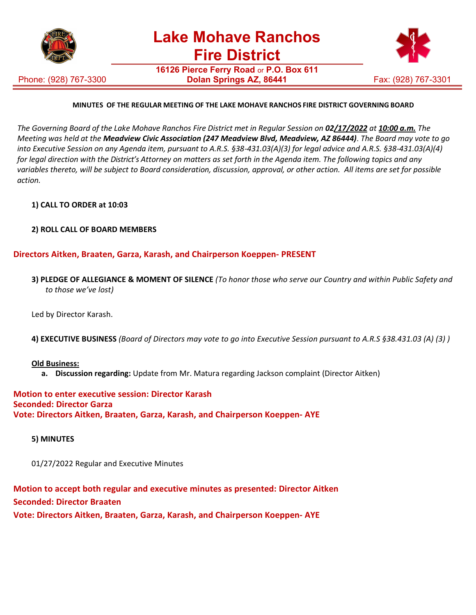

Phone: (928) 767-3300

**16126 Pierce Ferry Road** or **P.O. Box 611 Dolan Springs AZ, 86441** Fax: (928) 767-3301



# **MINUTES OF THE REGULAR MEETING OF THE LAKE MOHAVE RANCHOS FIRE DISTRICT GOVERNING BOARD**

The Governing Board of the Lake Mohave Ranchos Fire District met in Regular Session on **02<u>/17/2022</u>** at 10:00 a.m. The *Meeting was held at the Meadview Civic Association (247 Meadview Blvd, Meadview, AZ 86444)*. *The Board may vote to go into Executive Session on any Agenda item, pursuant to A.R.S. §38-431.03(A)(3) for legal advice and A.R.S. §38-431.03(A)(4) for legal direction with the District's Attorney on matters as set forth in the Agenda item. The following topics and any variables thereto, will be subject to Board consideration, discussion, approval, or other action. All items are set for possible action.*

# **1) CALL TO ORDER at 10:03**

# **2) ROLL CALL OF BOARD MEMBERS**

# **Directors Aitken, Braaten, Garza, Karash, and Chairperson Koeppen- PRESENT**

**3) PLEDGE OF ALLEGIANCE & MOMENT OF SILENCE** *(To honor those who serve our Country and within Public Safety and to those we've lost)*

Led by Director Karash.

**4) EXECUTIVE BUSINESS** *(Board of Directors may vote to go into Executive Session pursuant to A.R.S §38.431.03 (A) (3) )*

### **Old Business:**

**a. Discussion regarding:** Update from Mr. Matura regarding Jackson complaint (Director Aitken)

**Motion to enter executive session: Director Karash Seconded: Director Garza Vote: Directors Aitken, Braaten, Garza, Karash, and Chairperson Koeppen- AYE**

### **5) MINUTES**

01/27/2022 Regular and Executive Minutes

**Motion to accept both regular and executive minutes as presented: Director Aitken Seconded: Director Braaten Vote: Directors Aitken, Braaten, Garza, Karash, and Chairperson Koeppen- AYE**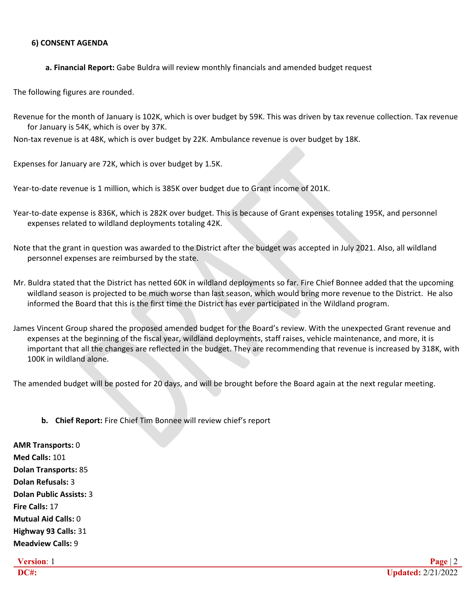### **6) CONSENT AGENDA**

**a. Financial Report:** Gabe Buldra will review monthly financials and amended budget request

The following figures are rounded.

Revenue for the month of January is 102K, which is over budget by 59K. This was driven by tax revenue collection. Tax revenue for January is 54K, which is over by 37K.

Non-tax revenue is at 48K, which is over budget by 22K. Ambulance revenue is over budget by 18K.

Expenses for January are 72K, which is over budget by 1.5K.

Year-to-date revenue is 1 million, which is 385K over budget due to Grant income of 201K.

- Year-to-date expense is 836K, which is 282K over budget. This is because of Grant expenses totaling 195K, and personnel expenses related to wildland deployments totaling 42K.
- Note that the grant in question was awarded to the District after the budget was accepted in July 2021. Also, all wildland personnel expenses are reimbursed by the state.
- Mr. Buldra stated that the District has netted 60K in wildland deployments so far. Fire Chief Bonnee added that the upcoming wildland season is projected to be much worse than last season, which would bring more revenue to the District. He also informed the Board that this is the first time the District has ever participated in the Wildland program.
- James Vincent Group shared the proposed amended budget for the Board's review. With the unexpected Grant revenue and expenses at the beginning of the fiscal year, wildland deployments, staff raises, vehicle maintenance, and more, it is important that all the changes are reflected in the budget. They are recommending that revenue is increased by 318K, with 100K in wildland alone.

The amended budget will be posted for 20 days, and will be brought before the Board again at the next regular meeting.

# **b. Chief Report:** Fire Chief Tim Bonnee will review chief's report

**AMR Transports:** 0 **Med Calls:** 101 **Dolan Transports:** 85 **Dolan Refusals:** 3 **Dolan Public Assists:** 3 **Fire Calls:** 17 **Mutual Aid Calls:** 0 **Highway 93 Calls:** 31 **Meadview Calls:** 9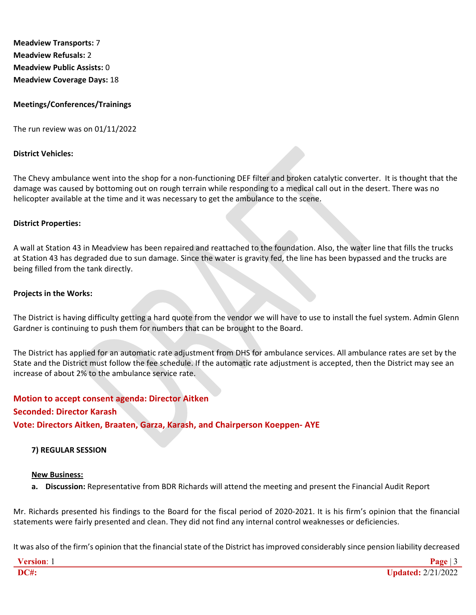**Meadview Transports:** 7 **Meadview Refusals:** 2 **Meadview Public Assists:** 0 **Meadview Coverage Days:** 18

# **Meetings/Conferences/Trainings**

The run review was on 01/11/2022

#### **District Vehicles:**

The Chevy ambulance went into the shop for a non-functioning DEF filter and broken catalytic converter. It is thought that the damage was caused by bottoming out on rough terrain while responding to a medical call out in the desert. There was no helicopter available at the time and it was necessary to get the ambulance to the scene.

#### **District Properties:**

A wall at Station 43 in Meadview has been repaired and reattached to the foundation. Also, the water line that fills the trucks at Station 43 has degraded due to sun damage. Since the water is gravity fed, the line has been bypassed and the trucks are being filled from the tank directly.

#### **Projects in the Works:**

The District is having difficulty getting a hard quote from the vendor we will have to use to install the fuel system. Admin Glenn Gardner is continuing to push them for numbers that can be brought to the Board.

The District has applied for an automatic rate adjustment from DHS for ambulance services. All ambulance rates are set by the State and the District must follow the fee schedule. If the automatic rate adjustment is accepted, then the District may see an increase of about 2% to the ambulance service rate.

# **Motion to accept consent agenda: Director Aitken Seconded: Director Karash Vote: Directors Aitken, Braaten, Garza, Karash, and Chairperson Koeppen- AYE**

### **7) REGULAR SESSION**

#### **New Business:**

**a. Discussion:** Representative from BDR Richards will attend the meeting and present the Financial Audit Report

Mr. Richards presented his findings to the Board for the fiscal period of 2020-2021. It is his firm's opinion that the financial statements were fairly presented and clean. They did not find any internal control weaknesses or deficiencies.

It was also of the firm's opinion that the financial state of the District has improved considerably since pension liability decreased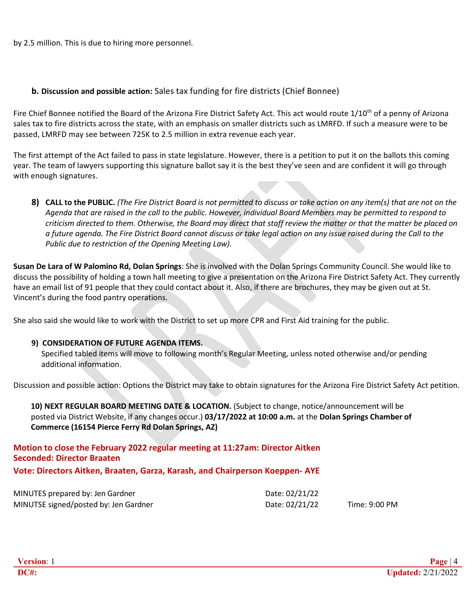by 2.5 million. This is due to hiring more personnel.

# **b. Discussion and possible action:** Sales tax funding for fire districts (Chief Bonnee)

Fire Chief Bonnee notified the Board of the Arizona Fire District Safety Act. This act would route 1/10<sup>th</sup> of a penny of Arizona sales tax to fire districts across the state, with an emphasis on smaller districts such as LMRFD. If such a measure were to be passed, LMRFD may see between 725K to 2.5 million in extra revenue each year.

The first attempt of the Act failed to pass in state legislature. However, there is a petition to put it on the ballots this coming year. The team of lawyers supporting this signature ballot say it is the best they've seen and are confident it will go through with enough signatures.

8) CALL to the PUBLIC. (The Fire District Board is not permitted to discuss or take action on any item(s) that are not on the *Agenda that are raised in the call to the public. However, individual Board Members may be permitted to respond to criticism directed to them. Otherwise, the Board may direct that staff review the matter or that the matter be placed on a future agenda. The Fire District Board cannot discuss or take legal action on any issue raised during the Call to the Public due to restriction of the Opening Meeting Law).*

**Susan De Lara of W Palomino Rd, Dolan Springs**: She is involved with the Dolan Springs Community Council. She would like to discuss the possibility of holding a town hall meeting to give a presentation on the Arizona Fire District Safety Act. They currently have an email list of 91 people that they could contact about it. Also, if there are brochures, they may be given out at St. Vincent's during the food pantry operations.

She also said she would like to work with the District to set up more CPR and First Aid training for the public.

# **9) CONSIDERATION OF FUTURE AGENDA ITEMS.**

Specified tabled items will move to following month's Regular Meeting, unless noted otherwise and/or pending additional information.

Discussion and possible action: Options the District may take to obtain signatures for the Arizona Fire District Safety Act petition.

**10) NEXT REGULAR BOARD MEETING DATE & LOCATION.** (Subject to change, notice/announcement will be posted via District Website, if any changes occur.) **03/17/2022 at 10:00 a.m.** at the **Dolan Springs Chamber of Commerce (16154 Pierce Ferry Rd Dolan Springs, AZ)**

# **Motion to close the February 2022 regular meeting at 11:27am: Director Aitken Seconded: Director Braaten Vote: Directors Aitken, Braaten, Garza, Karash, and Chairperson Koeppen- AYE**

| MINUTES prepared by: Jen Gardner      | Date: 02/21/22 |               |
|---------------------------------------|----------------|---------------|
| MINUTSE signed/posted by: Jen Gardner | Date: 02/21/22 | Time: 9:00 PM |